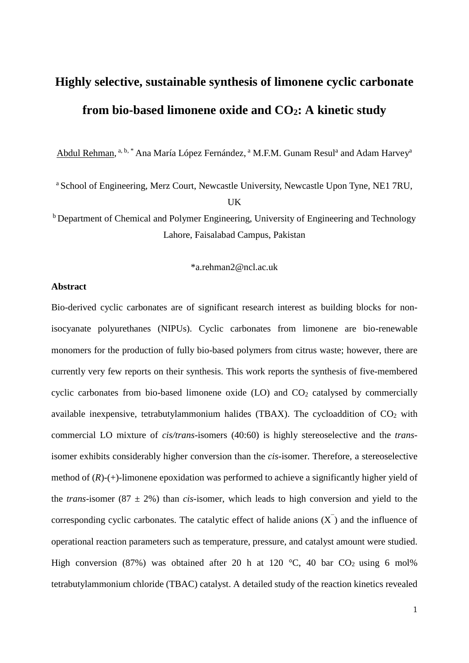# **Highly selective, sustainable synthesis of limonene cyclic carbonate from bio-based limonene oxide and CO2: A kinetic study**

Abdul Rehman, <sup>a, b, \*</sup> Ana María López Fernández, <sup>a</sup> M.F.M. Gunam Resul<sup>a</sup> and Adam Harvey<sup>a</sup>

<sup>a</sup> School of Engineering, Merz Court, Newcastle University, Newcastle Upon Tyne, NE1 7RU, UK

<sup>b</sup> Department of Chemical and Polymer Engineering, University of Engineering and Technology Lahore, Faisalabad Campus, Pakistan

\*a.rehman2@ncl.ac.uk

## **Abstract**

Bio-derived cyclic carbonates are of significant research interest as building blocks for nonisocyanate polyurethanes (NIPUs). Cyclic carbonates from limonene are bio-renewable monomers for the production of fully bio-based polymers from citrus waste; however, there are currently very few reports on their synthesis. This work reports the synthesis of five-membered cyclic carbonates from bio-based limonene oxide  $(LO)$  and  $CO<sub>2</sub>$  catalysed by commercially available inexpensive, tetrabutylammonium halides (TBAX). The cycloaddition of  $CO<sub>2</sub>$  with commercial LO mixture of *cis/trans-*isomers (40:60) is highly stereoselective and the *trans*isomer exhibits considerably higher conversion than the *cis-*isomer. Therefore, a stereoselective method of (*R*)-(+)-limonene epoxidation was performed to achieve a significantly higher yield of the *trans*-isomer (87  $\pm$  2%) than *cis*-isomer, which leads to high conversion and yield to the corresponding cyclic carbonates. The catalytic effect of halide anions  $(X)$  and the influence of operational reaction parameters such as temperature, pressure, and catalyst amount were studied. High conversion (87%) was obtained after 20 h at 120  $\degree$ C, 40 bar CO<sub>2</sub> using 6 mol% tetrabutylammonium chloride (TBAC) catalyst. A detailed study of the reaction kinetics revealed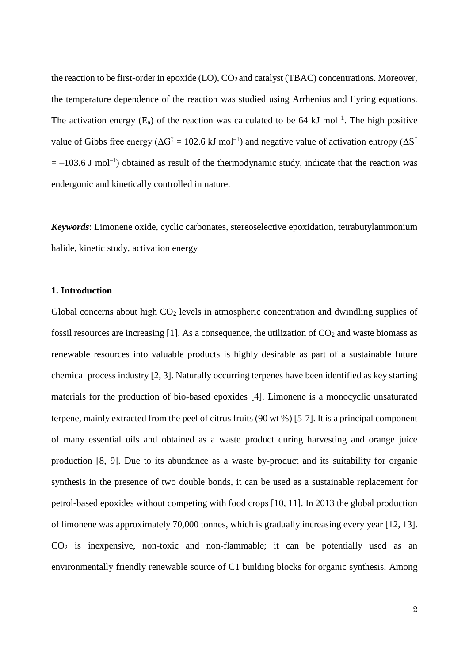the reaction to be first-order in epoxide  $(LO)$ ,  $CO<sub>2</sub>$  and catalyst (TBAC) concentrations. Moreover, the temperature dependence of the reaction was studied using Arrhenius and Eyring equations. The activation energy  $(E_a)$  of the reaction was calculated to be 64 kJ mol<sup>-1</sup>. The high positive value of Gibbs free energy ( $\Delta G^{\ddagger} = 102.6 \text{ kJ} \text{ mol}^{-1}$ ) and negative value of activation entropy ( $\Delta S^{\ddagger}$ )  $= -103.6$  J mol<sup>-1</sup>) obtained as result of the thermodynamic study, indicate that the reaction was endergonic and kinetically controlled in nature.

*Keywords*: Limonene oxide, cyclic carbonates, stereoselective epoxidation, tetrabutylammonium halide, kinetic study, activation energy

# **1. Introduction**

Global concerns about high  $CO<sub>2</sub>$  levels in atmospheric concentration and dwindling supplies of fossil resources are increasing [\[1\]](#page-20-0). As a consequence, the utilization of  $CO<sub>2</sub>$  and waste biomass as renewable resources into valuable products is highly desirable as part of a sustainable future chemical process industry [\[2,](#page-20-1) [3\]](#page-20-2). Naturally occurring terpenes have been identified as key starting materials for the production of bio-based epoxides [\[4\]](#page-20-3). Limonene is a monocyclic unsaturated terpene, mainly extracted from the peel of citrus fruits (90 wt %) [\[5-7\]](#page-20-4). It is a principal component of many essential oils and obtained as a waste product during harvesting and orange juice production [\[8,](#page-20-5) [9\]](#page-20-6). Due to its abundance as a waste by-product and its suitability for organic synthesis in the presence of two double bonds, it can be used as a sustainable replacement for petrol-based epoxides without competing with food crops [\[10,](#page-20-7) [11\]](#page-20-8). In 2013 the global production of limonene was approximately 70,000 tonnes, which is gradually increasing every year [\[12,](#page-20-9) [13\]](#page-20-10).  $CO<sub>2</sub>$  is inexpensive, non-toxic and non-flammable; it can be potentially used as an environmentally friendly renewable source of C1 building blocks for organic synthesis. Among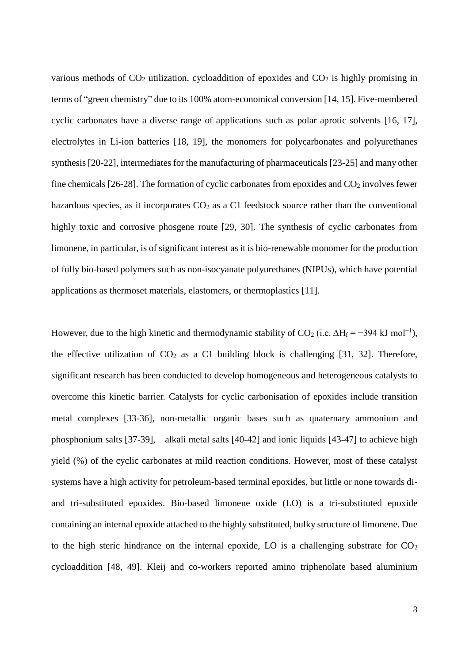various methods of  $CO<sub>2</sub>$  utilization, cycloaddition of epoxides and  $CO<sub>2</sub>$  is highly promising in terms of "green chemistry" due to its 100% atom-economical conversion [\[14,](#page-20-11) [15\]](#page-20-12). Five-membered cyclic carbonates have a diverse range of applications such as polar aprotic solvents [\[16,](#page-20-13) [17\]](#page-20-14), electrolytes in Li-ion batteries [\[18,](#page-21-0) [19\]](#page-21-1), the monomers for polycarbonates and polyurethanes synthesis [\[20-22\]](#page-21-2), intermediates for the manufacturing of pharmaceuticals [\[23-25\]](#page-21-3) and many other fine chemicals [\[26-28\]](#page-21-4). The formation of cyclic carbonates from epoxides and  $CO<sub>2</sub>$  involves fewer hazardous species, as it incorporates  $CO<sub>2</sub>$  as a C1 feedstock source rather than the conventional highly toxic and corrosive phosgene route [\[29,](#page-21-5) [30\]](#page-21-6). The synthesis of cyclic carbonates from limonene, in particular, is of significant interest as it is bio-renewable monomer for the production of fully bio-based polymers such as non-isocyanate polyurethanes (NIPUs), which have potential applications as thermoset materials, elastomers, or thermoplastics [\[11\]](#page-20-8).

However, due to the high kinetic and thermodynamic stability of CO<sub>2</sub> (i.e.  $\Delta H_f = -394 \text{ kJ mol}^{-1}$ ), the effective utilization of  $CO<sub>2</sub>$  as a C1 building block is challenging [\[31,](#page-21-7) [32\]](#page-21-8). Therefore, significant research has been conducted to develop homogeneous and heterogeneous catalysts to overcome this kinetic barrier. Catalysts for cyclic carbonisation of epoxides include transition metal complexes [\[33-36\]](#page-21-9), non-metallic organic bases such as quaternary ammonium and phosphonium salts [\[37-39\]](#page-22-0), alkali metal salts [\[40-42\]](#page-22-1) and ionic liquids [\[43-47\]](#page-22-2) to achieve high yield (%) of the cyclic carbonates at mild reaction conditions. However, most of these catalyst systems have a high activity for petroleum-based terminal epoxides, but little or none towards diand tri-substituted epoxides. Bio-based limonene oxide (LO) is a tri-substituted epoxide containing an internal epoxide attached to the highly substituted, bulky structure of limonene. Due to the high steric hindrance on the internal epoxide, LO is a challenging substrate for  $CO<sub>2</sub>$ cycloaddition [\[48,](#page-22-3) [49\]](#page-22-4). Kleij and co-workers reported amino triphenolate based aluminium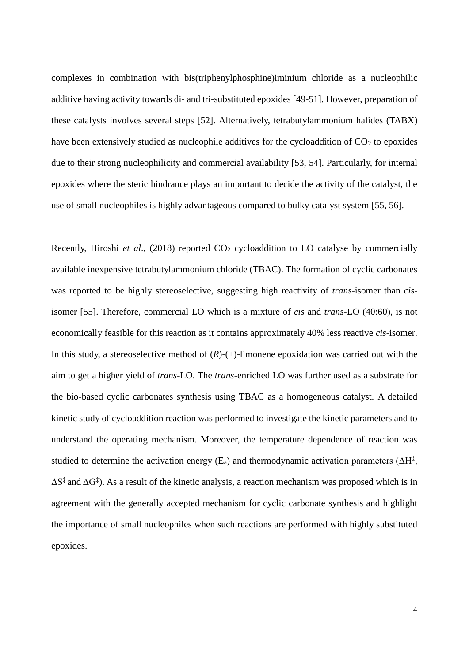complexes in combination with bis(triphenylphosphine)iminium chloride as a nucleophilic additive having activity towards di- and tri-substituted epoxides [\[49-51\]](#page-22-4). However, preparation of these catalysts involves several steps [\[52\]](#page-23-0). Alternatively, tetrabutylammonium halides (TABX) have been extensively studied as nucleophile additives for the cycloaddition of  $CO<sub>2</sub>$  to epoxides due to their strong nucleophilicity and commercial availability [\[53,](#page-23-1) [54\]](#page-23-2). Particularly, for internal epoxides where the steric hindrance plays an important to decide the activity of the catalyst, the use of small nucleophiles is highly advantageous compared to bulky catalyst system [\[55,](#page-23-3) [56\]](#page-23-4).

Recently, Hiroshi *et al.*, (2018) reported CO<sub>2</sub> cycloaddition to LO catalyse by commercially available inexpensive tetrabutylammonium chloride (TBAC). The formation of cyclic carbonates was reported to be highly stereoselective, suggesting high reactivity of *trans-*isomer than *cis*isomer [\[55\]](#page-23-3). Therefore, commercial LO which is a mixture of *cis* and *trans-*LO (40:60), is not economically feasible for this reaction as it contains approximately 40% less reactive *cis-*isomer. In this study, a stereoselective method of  $(R)-(+)$ -limonene epoxidation was carried out with the aim to get a higher yield of *trans*-LO. The *trans*-enriched LO was further used as a substrate for the bio-based cyclic carbonates synthesis using TBAC as a homogeneous catalyst. A detailed kinetic study of cycloaddition reaction was performed to investigate the kinetic parameters and to understand the operating mechanism. Moreover, the temperature dependence of reaction was studied to determine the activation energy ( $E_a$ ) and thermodynamic activation parameters ( $\Delta H^{\ddagger}$ ,  $\Delta S^{\ddagger}$  and  $\Delta G^{\ddagger}$ ). As a result of the kinetic analysis, a reaction mechanism was proposed which is in agreement with the generally accepted mechanism for cyclic carbonate synthesis and highlight the importance of small nucleophiles when such reactions are performed with highly substituted epoxides.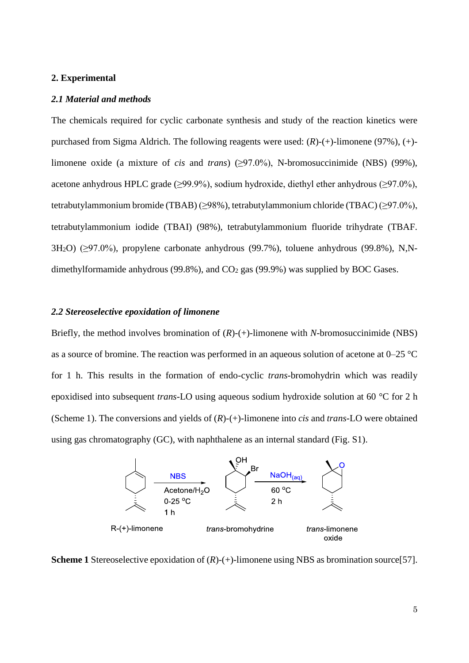#### **2. Experimental**

#### *2.1 Material and methods*

The chemicals required for cyclic carbonate synthesis and study of the reaction kinetics were purchased from Sigma Aldrich. The following reagents were used: (*R*)-(+)-limonene (97%), (+) limonene oxide (a mixture of *cis* and *trans*) (≥97.0%), N-bromosuccinimide (NBS) (99%), acetone anhydrous HPLC grade ( $\geq$ 99.9%), sodium hydroxide, diethyl ether anhydrous ( $\geq$ 97.0%), tetrabutylammonium bromide (TBAB) (≥98%), tetrabutylammonium chloride (TBAC) (≥97.0%), tetrabutylammonium iodide (TBAI) (98%), tetrabutylammonium fluoride trihydrate (TBAF.  $3H<sub>2</sub>O$ ) ( $\geq$ 97.0%), propylene carbonate anhydrous (99.7%), toluene anhydrous (99.8%), N,Ndimethylformamide anhydrous (99.8%), and  $CO<sub>2</sub>$  gas (99.9%) was supplied by BOC Gases.

#### *2.2 Stereoselective epoxidation of limonene*

Briefly, the method involves bromination of (*R*)-(+)-limonene with *N*-bromosuccinimide (NBS) as a source of bromine. The reaction was performed in an aqueous solution of acetone at  $0-25$  °C for 1 h. This results in the formation of endo-cyclic *trans*-bromohydrin which was readily epoxidised into subsequent *trans*-LO using aqueous sodium hydroxide solution at 60 °C for 2 h (Scheme 1). The conversions and yields of (*R*)-(+)-limonene into *cis* and *trans-*LO were obtained using gas chromatography (GC), with naphthalene as an internal standard (Fig. S1).



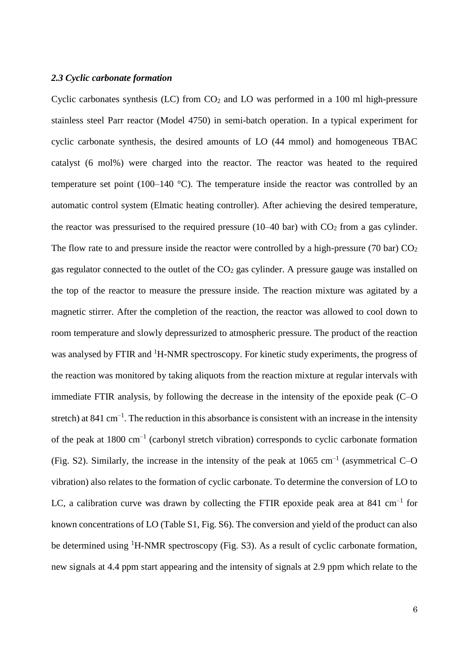#### *2.3 Cyclic carbonate formation*

Cyclic carbonates synthesis (LC) from  $CO<sub>2</sub>$  and LO was performed in a 100 ml high-pressure stainless steel Parr reactor (Model 4750) in semi-batch operation. In a typical experiment for cyclic carbonate synthesis, the desired amounts of LO (44 mmol) and homogeneous TBAC catalyst (6 mol%) were charged into the reactor. The reactor was heated to the required temperature set point (100–140  $^{\circ}$ C). The temperature inside the reactor was controlled by an automatic control system (Elmatic heating controller). After achieving the desired temperature, the reactor was pressurised to the required pressure  $(10-40$  bar) with  $CO<sub>2</sub>$  from a gas cylinder. The flow rate to and pressure inside the reactor were controlled by a high-pressure (70 bar)  $CO<sub>2</sub>$ gas regulator connected to the outlet of the  $CO<sub>2</sub>$  gas cylinder. A pressure gauge was installed on the top of the reactor to measure the pressure inside. The reaction mixture was agitated by a magnetic stirrer. After the completion of the reaction, the reactor was allowed to cool down to room temperature and slowly depressurized to atmospheric pressure. The product of the reaction was analysed by FTIR and <sup>1</sup>H-NMR spectroscopy. For kinetic study experiments, the progress of the reaction was monitored by taking aliquots from the reaction mixture at regular intervals with immediate FTIR analysis, by following the decrease in the intensity of the epoxide peak (C–O stretch) at 841 cm<sup>-1</sup>. The reduction in this absorbance is consistent with an increase in the intensity of the peak at 1800 cm<sup>-1</sup> (carbonyl stretch vibration) corresponds to cyclic carbonate formation (Fig. S2). Similarly, the increase in the intensity of the peak at  $1065 \text{ cm}^{-1}$  (asymmetrical C-O vibration) also relates to the formation of cyclic carbonate. To determine the conversion of LO to LC, a calibration curve was drawn by collecting the FTIR epoxide peak area at 841 cm<sup>-1</sup> for known concentrations of LO (Table S1, Fig. S6). The conversion and yield of the product can also be determined using <sup>1</sup>H-NMR spectroscopy (Fig. S3). As a result of cyclic carbonate formation, new signals at 4.4 ppm start appearing and the intensity of signals at 2.9 ppm which relate to the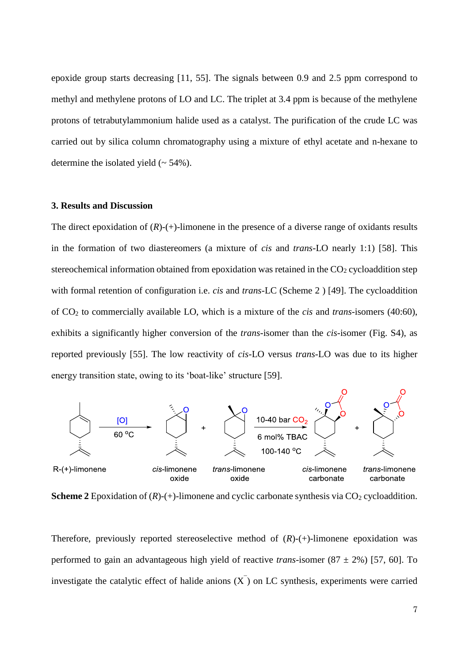epoxide group starts decreasing [\[11,](#page-20-8) [55\]](#page-23-3). The signals between 0.9 and 2.5 ppm correspond to methyl and methylene protons of LO and LC. The triplet at 3.4 ppm is because of the methylene protons of tetrabutylammonium halide used as a catalyst. The purification of the crude LC was carried out by silica column chromatography using a mixture of ethyl acetate and n-hexane to determine the isolated yield  $($   $\sim$  54%).

#### **3. Results and Discussion**

The direct epoxidation of  $(R)$ - $(+)$ -limonene in the presence of a diverse range of oxidants results in the formation of two diastereomers (a mixture of *cis* and *trans-*LO nearly 1:1) [\[58\]](#page-23-6). This stereochemical information obtained from epoxidation was retained in the  $CO<sub>2</sub>$  cycloaddition step with formal retention of configuration i.e. *cis* and *trans-*LC (Scheme 2 ) [\[49\]](#page-22-4). The cycloaddition of CO<sup>2</sup> to commercially available LO, which is a mixture of the *cis* and *trans*-isomers (40:60), exhibits a significantly higher conversion of the *trans*-isomer than the *cis-*isomer (Fig. S4), as reported previously [\[55\]](#page-23-3). The low reactivity of *cis-*LO versus *trans-*LO was due to its higher energy transition state, owing to its 'boat-like' structure [\[59\]](#page-23-7).



**Scheme 2** Epoxidation of  $(R)$ -(+)-limonene and cyclic carbonate synthesis via  $CO_2$  cycloaddition.

Therefore, previously reported stereoselective method of  $(R)$ - $(+)$ -limonene epoxidation was performed to gain an advantageous high yield of reactive *trans*-isomer  $(87 \pm 2\%)$  [\[57,](#page-23-5) [60\]](#page-23-8). To investigate the catalytic effect of halide anions  $(X)$  on LC synthesis, experiments were carried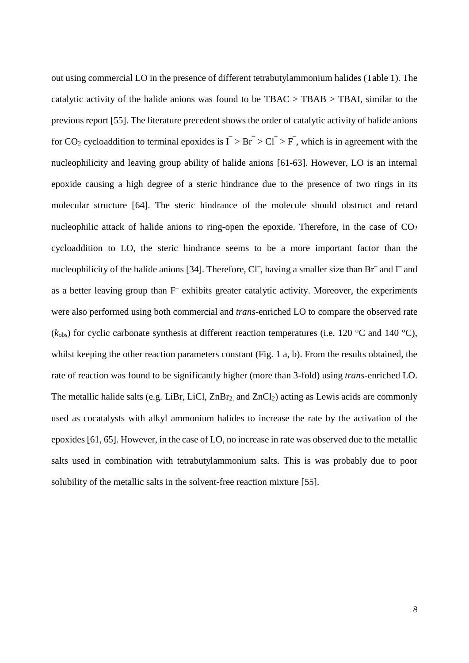out using commercial LO in the presence of different tetrabutylammonium halides (Table 1). The catalytic activity of the halide anions was found to be  $TBAC > TBAB > TBAI$ , similar to the previous report [\[55\]](#page-23-3). The literature precedent shows the order of catalytic activity of halide anions for CO<sub>2</sub> cycloaddition to terminal epoxides is  $\overline{I} > Br > Cl^{-} > F$ , which is in agreement with the nucleophilicity and leaving group ability of halide anions [\[61-63\]](#page-23-9). However, LO is an internal epoxide causing a high degree of a steric hindrance due to the presence of two rings in its molecular structure [\[64\]](#page-23-10). The steric hindrance of the molecule should obstruct and retard nucleophilic attack of halide anions to ring-open the epoxide. Therefore, in the case of  $CO<sub>2</sub>$ cycloaddition to LO, the steric hindrance seems to be a more important factor than the nucleophilicity of the halide anions [\[34\]](#page-21-10). Therefore, Cl<sup> $-$ </sup>, having a smaller size than Br $^-$  and  $\Gamma$  and as a better leaving group than  $F^-$  exhibits greater catalytic activity. Moreover, the experiments were also performed using both commercial and *trans*-enriched LO to compare the observed rate  $(k_{obs})$  for cyclic carbonate synthesis at different reaction temperatures (i.e. 120 °C and 140 °C), whilst keeping the other reaction parameters constant (Fig. 1 a, b). From the results obtained, the rate of reaction was found to be significantly higher (more than 3-fold) using *trans*-enriched LO. The metallic halide salts (e.g. LiBr, LiCl,  $ZnBr_2$ , and  $ZnCl_2$ ) acting as Lewis acids are commonly used as cocatalysts with alkyl ammonium halides to increase the rate by the activation of the epoxides [\[61,](#page-23-9) [65\]](#page-24-0). However, in the case of LO, no increase in rate was observed due to the metallic salts used in combination with tetrabutylammonium salts. This is was probably due to poor solubility of the metallic salts in the solvent-free reaction mixture [\[55\]](#page-23-3).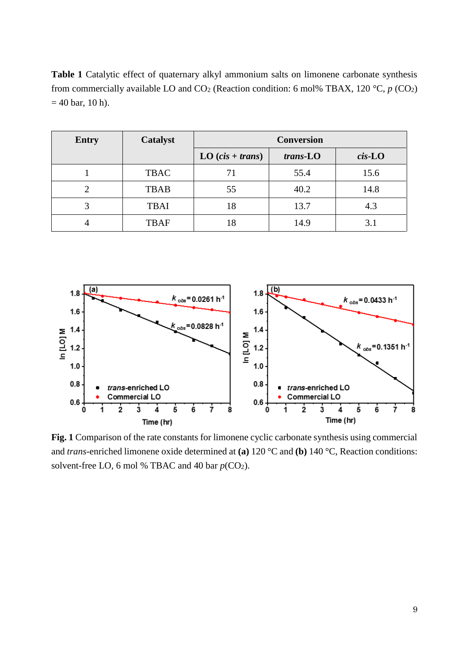**Table 1** Catalytic effect of quaternary alkyl ammonium salts on limonene carbonate synthesis from commercially available LO and  $CO_2$  (Reaction condition: 6 mol% TBAX, 120 °C,  $p$  (CO<sub>2</sub>)  $= 40$  bar, 10 h).

| <b>Entry</b> | Catalyst    | <b>Conversion</b>  |          |           |
|--------------|-------------|--------------------|----------|-----------|
|              |             | LO $(cis + trans)$ | trans-LO | $cis$ -LO |
|              | <b>TBAC</b> |                    | 55.4     | 15.6      |
|              | <b>TBAB</b> | 55                 | 40.2     | 14.8      |
|              | <b>TBAI</b> | 18                 | 13.7     | 4.3       |
|              | <b>TBAF</b> | 18                 | 14.9     |           |



**Fig. 1** Comparison of the rate constants for limonene cyclic carbonate synthesis using commercial and *trans*-enriched limonene oxide determined at **(a)** 120 °C and **(b)** 140 °C, Reaction conditions: solvent-free LO, 6 mol % TBAC and 40 bar  $p(CO_2)$ .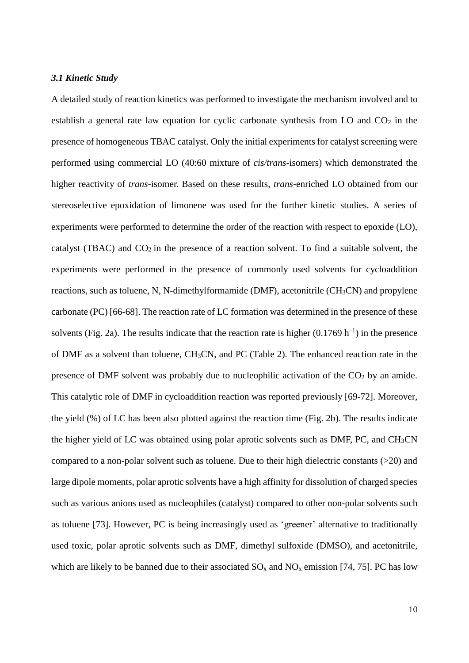## *3.1 Kinetic Study*

A detailed study of reaction kinetics was performed to investigate the mechanism involved and to establish a general rate law equation for cyclic carbonate synthesis from LO and  $CO<sub>2</sub>$  in the presence of homogeneous TBAC catalyst. Only the initial experiments for catalyst screening were performed using commercial LO (40:60 mixture of *cis/trans-*isomers) which demonstrated the higher reactivity of *trans*-isomer. Based on these results, *trans*-enriched LO obtained from our stereoselective epoxidation of limonene was used for the further kinetic studies. A series of experiments were performed to determine the order of the reaction with respect to epoxide (LO), catalyst (TBAC) and  $CO<sub>2</sub>$  in the presence of a reaction solvent. To find a suitable solvent, the experiments were performed in the presence of commonly used solvents for cycloaddition reactions, such as toluene, N, N-dimethylformamide (DMF), acetonitrile (CH3CN) and propylene carbonate (PC) [\[66-68\]](#page-24-1). The reaction rate of LC formation was determined in the presence of these solvents (Fig. 2a). The results indicate that the reaction rate is higher  $(0.1769 \text{ h}^{-1})$  in the presence of DMF as a solvent than toluene, CH3CN, and PC (Table 2). The enhanced reaction rate in the presence of DMF solvent was probably due to nucleophilic activation of the  $CO<sub>2</sub>$  by an amide. This catalytic role of DMF in cycloaddition reaction was reported previously [\[69-72\]](#page-24-2). Moreover, the yield (%) of LC has been also plotted against the reaction time (Fig. 2b). The results indicate the higher yield of LC was obtained using polar aprotic solvents such as DMF, PC, and CH3CN compared to a non-polar solvent such as toluene. Due to their high dielectric constants (>20) and large dipole moments, polar aprotic solvents have a high affinity for dissolution of charged species such as various anions used as nucleophiles (catalyst) compared to other non-polar solvents such as toluene [\[73\]](#page-24-3). However, PC is being increasingly used as 'greener' alternative to traditionally used toxic, polar aprotic solvents such as DMF, dimethyl sulfoxide (DMSO), and acetonitrile, which are likely to be banned due to their associated  $SO_x$  and  $NO_x$  emission [\[74,](#page-24-4) [75\]](#page-24-5). PC has low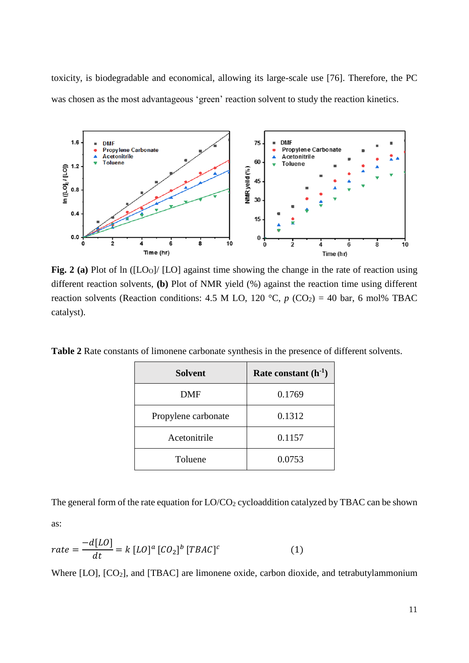toxicity, is biodegradable and economical, allowing its large-scale use [\[76\]](#page-24-6). Therefore, the PC was chosen as the most advantageous 'green' reaction solvent to study the reaction kinetics.



Fig. 2 (a) Plot of ln ([LO<sub>O</sub>]/ [LO] against time showing the change in the rate of reaction using different reaction solvents, **(b)** Plot of NMR yield (%) against the reaction time using different reaction solvents (Reaction conditions: 4.5 M LO, 120 °C,  $p$  (CO<sub>2</sub>) = 40 bar, 6 mol% TBAC catalyst).

**Table 2** Rate constants of limonene carbonate synthesis in the presence of different solvents.

| <b>Solvent</b>      | Rate constant $(h^{-1})$ |  |
|---------------------|--------------------------|--|
| DMF                 | 0.1769                   |  |
| Propylene carbonate | 0.1312                   |  |
| Acetonitrile        | 0.1157                   |  |
| Toluene             | 0.0753                   |  |

The general form of the rate equation for  $LO/CO_2$  cycloaddition catalyzed by TBAC can be shown as:

$$
rate = \frac{-d[LO]}{dt} = k [LO]^a [CO_2]^b [TBAC]^c
$$
 (1)

Where [LO], [CO<sub>2</sub>], and [TBAC] are limonene oxide, carbon dioxide, and tetrabutylammonium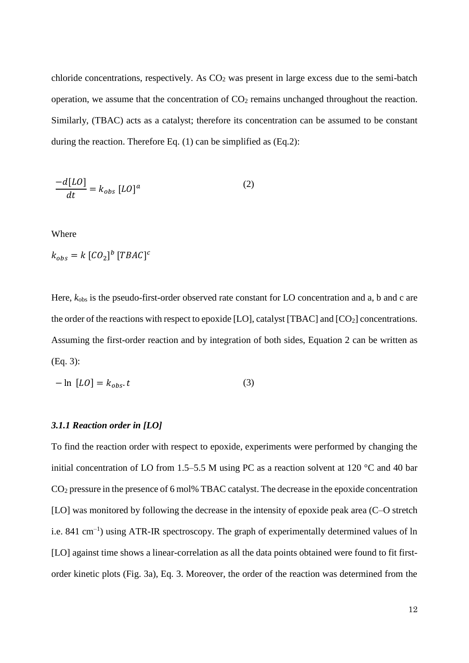chloride concentrations, respectively. As  $CO<sub>2</sub>$  was present in large excess due to the semi-batch operation, we assume that the concentration of  $CO<sub>2</sub>$  remains unchanged throughout the reaction. Similarly, (TBAC) acts as a catalyst; therefore its concentration can be assumed to be constant during the reaction. Therefore Eq. (1) can be simplified as (Eq.2):

$$
\frac{-d[LO]}{dt} = k_{obs} [LO]^a \tag{2}
$$

Where

$$
k_{obs} = k \left[ CO_2 \right]^b \left[ TBAC \right]^c
$$

Here,  $k_{\text{obs}}$  is the pseudo-first-order observed rate constant for LO concentration and a, b and c are the order of the reactions with respect to epoxide [LO], catalyst [TBAC] and  $[CO_2]$  concentrations. Assuming the first-order reaction and by integration of both sides, Equation 2 can be written as (Eq. 3):

$$
-\ln [LO] = k_{obs}.t \tag{3}
$$

#### *3.1.1 Reaction order in [LO]*

To find the reaction order with respect to epoxide, experiments were performed by changing the initial concentration of LO from 1.5–5.5 M using PC as a reaction solvent at 120 °C and 40 bar CO<sup>2</sup> pressure in the presence of 6 mol% TBAC catalyst. The decrease in the epoxide concentration [LO] was monitored by following the decrease in the intensity of epoxide peak area (C–O stretch i.e. 841 cm<sup>-1</sup>) using ATR-IR spectroscopy. The graph of experimentally determined values of ln [LO] against time shows a linear-correlation as all the data points obtained were found to fit firstorder kinetic plots (Fig. 3a), Eq. 3. Moreover, the order of the reaction was determined from the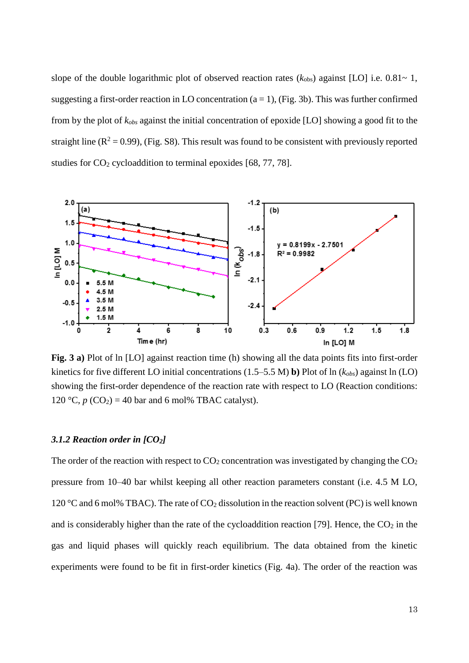slope of the double logarithmic plot of observed reaction rates  $(k_{obs})$  against [LO] i.e. 0.81~ 1, suggesting a first-order reaction in LO concentration ( $a = 1$ ), (Fig. 3b). This was further confirmed from by the plot of *kobs* against the initial concentration of epoxide [LO] showing a good fit to the straight line  $(R^2 = 0.99)$ , (Fig. S8). This result was found to be consistent with previously reported studies for  $CO<sub>2</sub>$  cycloaddition to terminal epoxides [\[68,](#page-24-7) [77,](#page-24-8) [78\]](#page-24-9).



**Fig. 3 a)** Plot of ln [LO] against reaction time (h) showing all the data points fits into first-order kinetics for five different LO initial concentrations (1.5–5.5 M) **b)** Plot of ln (*kobs*) against ln (LO) showing the first-order dependence of the reaction rate with respect to LO (Reaction conditions: 120 °C,  $p$  (CO<sub>2</sub>) = 40 bar and 6 mol% TBAC catalyst).

#### *3.1.2 Reaction order in [CO2]*

The order of the reaction with respect to  $CO_2$  concentration was investigated by changing the  $CO_2$ pressure from 10–40 bar whilst keeping all other reaction parameters constant (i.e. 4.5 M LO, 120 °C and 6 mol% TBAC). The rate of  $CO<sub>2</sub>$  dissolution in the reaction solvent (PC) is well known and is considerably higher than the rate of the cycloaddition reaction [\[79\]](#page-24-10). Hence, the  $CO<sub>2</sub>$  in the gas and liquid phases will quickly reach equilibrium. The data obtained from the kinetic experiments were found to be fit in first-order kinetics (Fig. 4a). The order of the reaction was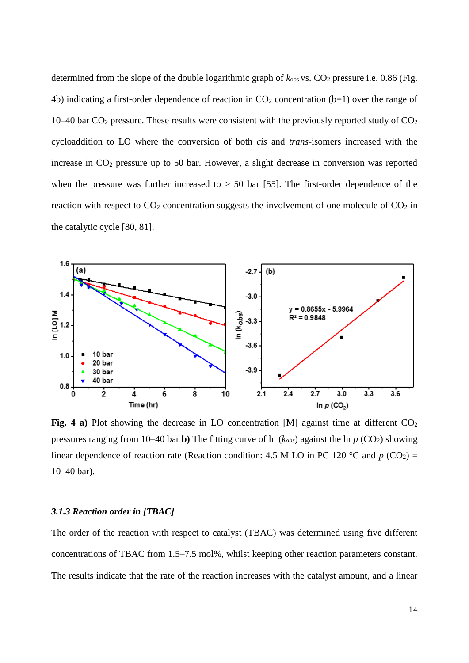determined from the slope of the double logarithmic graph of  $k_{obs}$  vs.  $CO_2$  pressure i.e. 0.86 (Fig. 4b) indicating a first-order dependence of reaction in  $CO<sub>2</sub>$  concentration (b=1) over the range of 10–40 bar  $CO_2$  pressure. These results were consistent with the previously reported study of  $CO_2$ cycloaddition to LO where the conversion of both *cis* and *trans-*isomers increased with the increase in CO<sup>2</sup> pressure up to 50 bar. However, a slight decrease in conversion was reported when the pressure was further increased to  $> 50$  bar [\[55\]](#page-23-3). The first-order dependence of the reaction with respect to  $CO<sub>2</sub>$  concentration suggests the involvement of one molecule of  $CO<sub>2</sub>$  in the catalytic cycle [\[80,](#page-25-0) [81\]](#page-25-1).



**Fig. 4 a**) Plot showing the decrease in LO concentration [M] against time at different  $CO<sub>2</sub>$ pressures ranging from 10–40 bar **b**) The fitting curve of  $\ln (k_{obs})$  against the  $\ln p$  (CO<sub>2</sub>) showing linear dependence of reaction rate (Reaction condition: 4.5 M LO in PC 120 °C and  $p$  (CO<sub>2</sub>) = 10–40 bar).

#### *3.1.3 Reaction order in [TBAC]*

The order of the reaction with respect to catalyst (TBAC) was determined using five different concentrations of TBAC from 1.5–7.5 mol%, whilst keeping other reaction parameters constant. The results indicate that the rate of the reaction increases with the catalyst amount, and a linear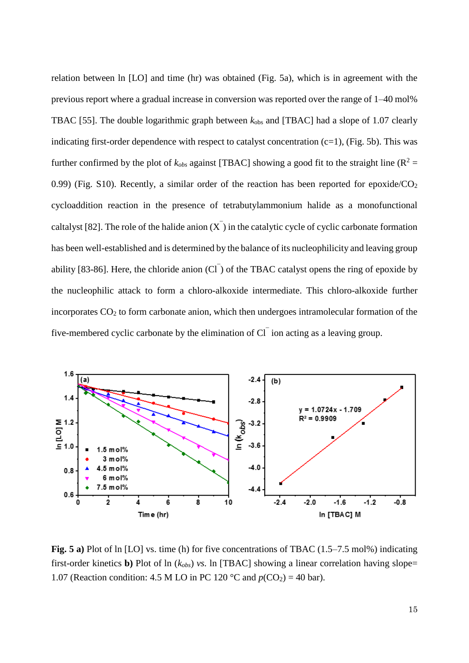relation between ln [LO] and time (hr) was obtained (Fig. 5a), which is in agreement with the previous report where a gradual increase in conversion was reported over the range of 1–40 mol% TBAC [\[55\]](#page-23-3). The double logarithmic graph between  $k_{obs}$  and [TBAC] had a slope of 1.07 clearly indicating first-order dependence with respect to catalyst concentration  $(c=1)$ , (Fig. 5b). This was further confirmed by the plot of  $k_{obs}$  against [TBAC] showing a good fit to the straight line ( $\mathbb{R}^2$  = 0.99) (Fig. S10). Recently, a similar order of the reaction has been reported for epoxide/ $CO<sub>2</sub>$ cycloaddition reaction in the presence of tetrabutylammonium halide as a monofunctional caltalyst [\[82\]](#page-25-2). The role of the halide anion  $(X)$  in the catalytic cycle of cyclic carbonate formation has been well-established and is determined by the balance of its nucleophilicity and leaving group ability [\[83-86\]](#page-25-3). Here, the chloride anion  $(Cl<sup>-</sup>)$  of the TBAC catalyst opens the ring of epoxide by the nucleophilic attack to form a chloro-alkoxide intermediate. This chloro-alkoxide further incorporates  $CO<sub>2</sub>$  to form carbonate anion, which then undergoes intramolecular formation of the five-membered cyclic carbonate by the elimination of  $Cl<sup>-</sup>$  ion acting as a leaving group.



**Fig. 5 a)** Plot of ln [LO] vs. time (h) for five concentrations of TBAC (1.5–7.5 mol%) indicating first-order kinetics **b)** Plot of ln (*kobs*) *vs.* ln [TBAC] showing a linear correlation having slope= 1.07 (Reaction condition: 4.5 M LO in PC 120 °C and  $p(CO_2) = 40$  bar).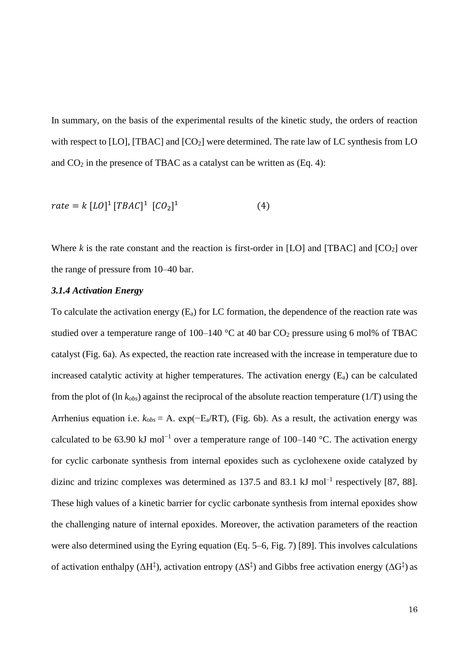In summary, on the basis of the experimental results of the kinetic study, the orders of reaction with respect to  $[LO]$ ,  $[TBAC]$  and  $[CO<sub>2</sub>]$  were determined. The rate law of LC synthesis from LO and  $CO<sub>2</sub>$  in the presence of TBAC as a catalyst can be written as (Eq. 4):

$$
rate = k [LO]^1 [TBAC]^1 [CO_2]^1 \tag{4}
$$

Where  $k$  is the rate constant and the reaction is first-order in [LO] and [TBAC] and  $[CO<sub>2</sub>]$  over the range of pressure from 10–40 bar.

# *3.1.4 Activation Energy*

To calculate the activation energy  $(E_a)$  for LC formation, the dependence of the reaction rate was studied over a temperature range of 100–140  $\degree$ C at 40 bar CO<sub>2</sub> pressure using 6 mol% of TBAC catalyst (Fig. 6a). As expected, the reaction rate increased with the increase in temperature due to increased catalytic activity at higher temperatures. The activation energy  $(E_a)$  can be calculated from the plot of (ln *kobs*) against the reciprocal of the absolute reaction temperature (1/T) using the Arrhenius equation i.e.  $k_{obs} = A$ . exp( $-E_a/RT$ ), (Fig. 6b). As a result, the activation energy was calculated to be 63.90 kJ mol<sup>-1</sup> over a temperature range of 100–140 °C. The activation energy for cyclic carbonate synthesis from internal epoxides such as cyclohexene oxide catalyzed by dizinc and trizinc complexes was determined as  $137.5$  and  $83.1 \text{ kJ}$  mol<sup>-1</sup> respectively [\[87,](#page-25-4) [88\]](#page-25-5). These high values of a kinetic barrier for cyclic carbonate synthesis from internal epoxides show the challenging nature of internal epoxides. Moreover, the activation parameters of the reaction were also determined using the Eyring equation (Eq. 5–6, Fig. 7) [\[89\]](#page-25-6). This involves calculations of activation enthalpy ( $\Delta H^{\ddagger}$ ), activation entropy ( $\Delta S^{\ddagger}$ ) and Gibbs free activation energy ( $\Delta G^{\ddagger}$ ) as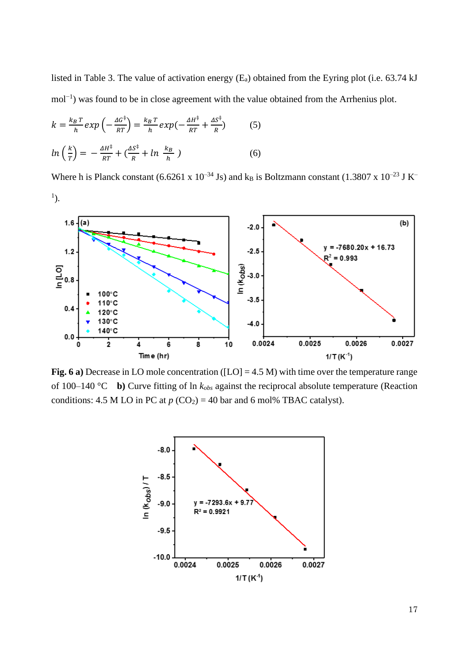listed in Table 3. The value of activation energy (Ea) obtained from the Eyring plot (i.e. 63.74 kJ mol<sup>-1</sup>) was found to be in close agreement with the value obtained from the Arrhenius plot.

$$
k = \frac{k_B T}{h} exp\left(-\frac{\Delta G^{\dagger}}{RT}\right) = \frac{k_B T}{h} exp\left(-\frac{\Delta H^{\dagger}}{RT} + \frac{\Delta S^{\dagger}}{R}\right) \tag{5}
$$

$$
ln\left(\frac{k}{T}\right) = -\frac{\Delta H^{\dagger}}{RT} + \left(\frac{\Delta S^{\dagger}}{R} + ln\left(\frac{k_B}{h}\right)\right) \tag{6}
$$

Where h is Planck constant (6.6261 x  $10^{-34}$  Js) and k<sub>B</sub> is Boltzmann constant (1.3807 x  $10^{-23}$  J K<sup>-</sup>  $\left( \frac{1}{2} \right)$ .



**Fig. 6 a)** Decrease in LO mole concentration ([LO] = 4.5 M) with time over the temperature range of 100–140 °C **b)** Curve fitting of ln *kobs* against the reciprocal absolute temperature (Reaction conditions: 4.5 M LO in PC at  $p (CO<sub>2</sub>) = 40$  bar and 6 mol% TBAC catalyst).

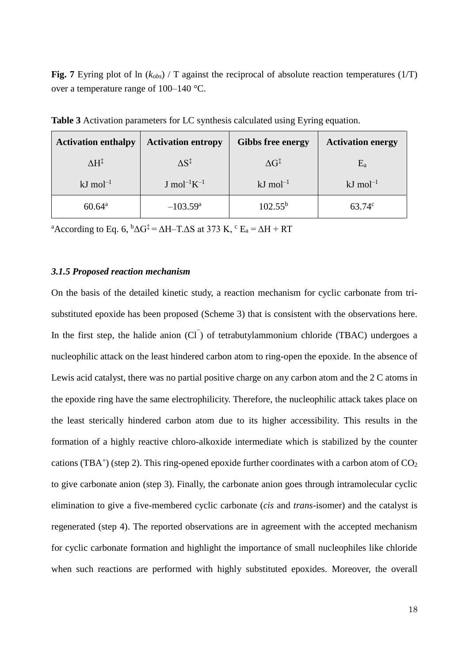**Fig. 7** Eyring plot of ln (*kobs*) / T against the reciprocal of absolute reaction temperatures (1/T) over a temperature range of 100–140 °C.

| <b>Activation enthalpy</b> | <b>Activation entropy</b>   | <b>Gibbs free energy</b> | <b>Activation energy</b> |
|----------------------------|-----------------------------|--------------------------|--------------------------|
| $\Delta H^{\ddagger}$      | $\Delta S^{\ddagger}$       | $\Delta G^{\ddagger}$    | $E_a$                    |
| $kJ$ mol <sup>-1</sup>     | $J \text{ mol}^{-1} K^{-1}$ | $kJ \text{ mol}^{-1}$    | $kJ \text{ mol}^{-1}$    |
| $60.64^{\rm a}$            | $-103.59$ <sup>a</sup>      | $102.55^{b}$             | $63.74^{\circ}$          |

**Table 3** Activation parameters for LC synthesis calculated using Eyring equation.

<sup>a</sup>According to Eq. 6,  ${}^{b}\Delta G^{\ddagger} = \Delta H - T \Delta S$  at 373 K,  ${}^{c}$  E<sub>a</sub> =  $\Delta H + RT$ 

## *3.1.5 Proposed reaction mechanism*

On the basis of the detailed kinetic study, a reaction mechanism for cyclic carbonate from trisubstituted epoxide has been proposed (Scheme 3) that is consistent with the observations here. In the first step, the halide anion  $(Cl<sup>-</sup>)$  of tetrabutylammonium chloride (TBAC) undergoes a nucleophilic attack on the least hindered carbon atom to ring-open the epoxide. In the absence of Lewis acid catalyst, there was no partial positive charge on any carbon atom and the 2 C atoms in the epoxide ring have the same electrophilicity. Therefore, the nucleophilic attack takes place on the least sterically hindered carbon atom due to its higher accessibility. This results in the formation of a highly reactive chloro-alkoxide intermediate which is stabilized by the counter cations (TBA<sup>+</sup>) (step 2). This ring-opened epoxide further coordinates with a carbon atom of  $CO<sub>2</sub>$ to give carbonate anion (step 3). Finally, the carbonate anion goes through intramolecular cyclic elimination to give a five-membered cyclic carbonate (*cis* and *trans-*isomer) and the catalyst is regenerated (step 4). The reported observations are in agreement with the accepted mechanism for cyclic carbonate formation and highlight the importance of small nucleophiles like chloride when such reactions are performed with highly substituted epoxides. Moreover, the overall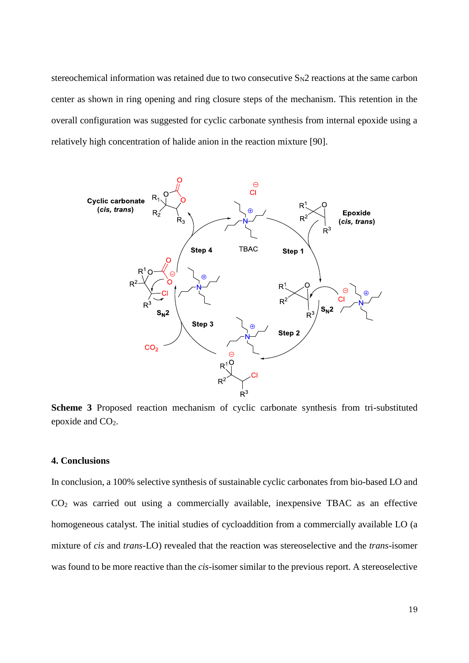stereochemical information was retained due to two consecutive  $S_N2$  reactions at the same carbon center as shown in ring opening and ring closure steps of the mechanism. This retention in the overall configuration was suggested for cyclic carbonate synthesis from internal epoxide using a relatively high concentration of halide anion in the reaction mixture [\[90\]](#page-25-7).



**Scheme 3** Proposed reaction mechanism of cyclic carbonate synthesis from tri-substituted epoxide and CO2.

# **4. Conclusions**

In conclusion, a 100% selective synthesis of sustainable cyclic carbonates from bio-based LO and CO<sup>2</sup> was carried out using a commercially available, inexpensive TBAC as an effective homogeneous catalyst. The initial studies of cycloaddition from a commercially available LO (a mixture of *cis* and *trans-*LO) revealed that the reaction was stereoselective and the *trans*-isomer was found to be more reactive than the *cis-*isomer similar to the previous report. A stereoselective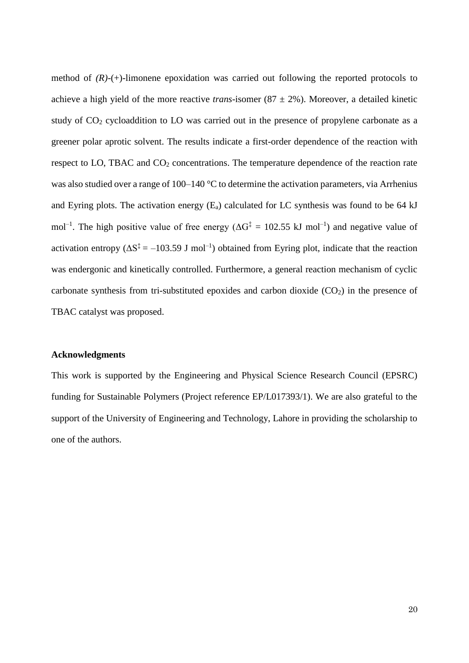method of  $(R)$ -(+)-limonene epoxidation was carried out following the reported protocols to achieve a high yield of the more reactive *trans*-isomer  $(87 \pm 2\%)$ . Moreover, a detailed kinetic study of  $CO<sub>2</sub>$  cycloaddition to LO was carried out in the presence of propylene carbonate as a greener polar aprotic solvent. The results indicate a first-order dependence of the reaction with respect to LO, TBAC and CO<sub>2</sub> concentrations. The temperature dependence of the reaction rate was also studied over a range of 100–140 °C to determine the activation parameters, via Arrhenius and Eyring plots. The activation energy  $(E_a)$  calculated for LC synthesis was found to be 64 kJ mol<sup>-1</sup>. The high positive value of free energy ( $\Delta G^{\ddagger} = 102.55$  kJ mol<sup>-1</sup>) and negative value of activation entropy ( $\Delta S^{\ddagger} = -103.59$  J mol<sup>-1</sup>) obtained from Eyring plot, indicate that the reaction was endergonic and kinetically controlled. Furthermore, a general reaction mechanism of cyclic carbonate synthesis from tri-substituted epoxides and carbon dioxide  $(CO<sub>2</sub>)$  in the presence of TBAC catalyst was proposed.

#### **Acknowledgments**

This work is supported by the Engineering and Physical Science Research Council (EPSRC) funding for Sustainable Polymers (Project reference EP/L017393/1). We are also grateful to the support of the University of Engineering and Technology, Lahore in providing the scholarship to one of the authors.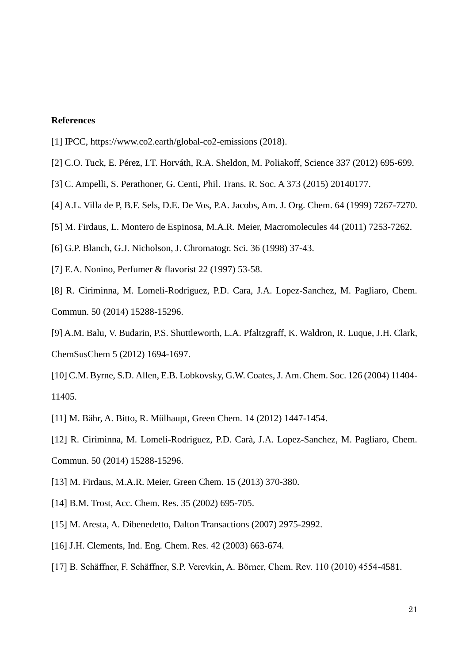## **References**

- <span id="page-20-0"></span>[1] IPCC, https:/[/www.co2.earth/global-co2-emissions](http://www.co2.earth/global-co2-emissions) (2018).
- <span id="page-20-1"></span>[2] C.O. Tuck, E. Pérez, I.T. Horváth, R.A. Sheldon, M. Poliakoff, Science 337 (2012) 695-699.
- <span id="page-20-2"></span>[3] C. Ampelli, S. Perathoner, G. Centi, Phil. Trans. R. Soc. A 373 (2015) 20140177.
- <span id="page-20-3"></span>[4] A.L. Villa de P, B.F. Sels, D.E. De Vos, P.A. Jacobs, Am. J. Org. Chem. 64 (1999) 7267-7270.
- <span id="page-20-4"></span>[5] M. Firdaus, L. Montero de Espinosa, M.A.R. Meier, Macromolecules 44 (2011) 7253-7262.
- [6] G.P. Blanch, G.J. Nicholson, J. Chromatogr. Sci. 36 (1998) 37-43.
- [7] E.A. Nonino, Perfumer & flavorist 22 (1997) 53-58.
- <span id="page-20-5"></span>[8] R. Ciriminna, M. Lomeli-Rodriguez, P.D. Cara, J.A. Lopez-Sanchez, M. Pagliaro, Chem. Commun. 50 (2014) 15288-15296.
- <span id="page-20-6"></span>[9] A.M. Balu, V. Budarin, P.S. Shuttleworth, L.A. Pfaltzgraff, K. Waldron, R. Luque, J.H. Clark, ChemSusChem 5 (2012) 1694-1697.
- <span id="page-20-7"></span>[10] C.M. Byrne, S.D. Allen, E.B. Lobkovsky, G.W. Coates, J. Am. Chem. Soc. 126 (2004) 11404- 11405.
- <span id="page-20-8"></span>[11] M. Bähr, A. Bitto, R. Mülhaupt, Green Chem. 14 (2012) 1447-1454.
- <span id="page-20-9"></span>[12] R. Ciriminna, M. Lomeli-Rodriguez, P.D. Carà, J.A. Lopez-Sanchez, M. Pagliaro, Chem. Commun. 50 (2014) 15288-15296.
- <span id="page-20-10"></span>[13] M. Firdaus, M.A.R. Meier, Green Chem. 15 (2013) 370-380.
- <span id="page-20-11"></span>[14] B.M. Trost, Acc. Chem. Res. 35 (2002) 695-705.
- <span id="page-20-12"></span>[15] M. Aresta, A. Dibenedetto, Dalton Transactions (2007) 2975-2992.
- <span id="page-20-13"></span>[16] J.H. Clements, Ind. Eng. Chem. Res. 42 (2003) 663-674.
- <span id="page-20-14"></span>[17] B. Schäffner, F. Schäffner, S.P. Verevkin, A. Börner, Chem. Rev. 110 (2010) 4554-4581.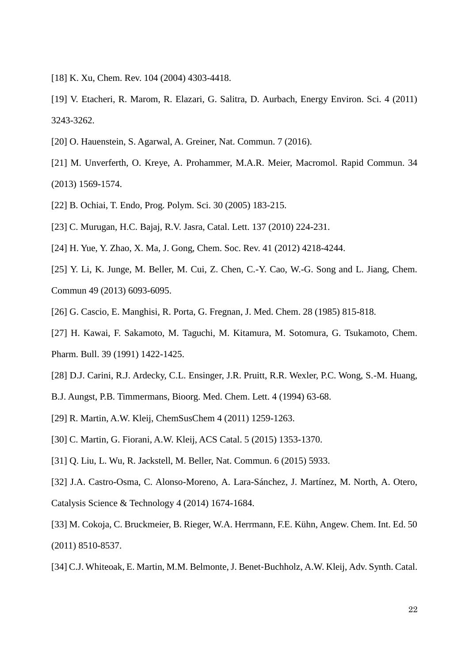- <span id="page-21-0"></span>[18] K. Xu, Chem. Rev. 104 (2004) 4303-4418.
- <span id="page-21-1"></span>[19] V. Etacheri, R. Marom, R. Elazari, G. Salitra, D. Aurbach, Energy Environ. Sci. 4 (2011) 3243-3262.
- <span id="page-21-2"></span>[20] O. Hauenstein, S. Agarwal, A. Greiner, Nat. Commun. 7 (2016).
- [21] M. Unverferth, O. Kreye, A. Prohammer, M.A.R. Meier, Macromol. Rapid Commun. 34 (2013) 1569-1574.
- [22] B. Ochiai, T. Endo, Prog. Polym. Sci. 30 (2005) 183-215.
- <span id="page-21-3"></span>[23] C. Murugan, H.C. Bajaj, R.V. Jasra, Catal. Lett. 137 (2010) 224-231.
- [24] H. Yue, Y. Zhao, X. Ma, J. Gong, Chem. Soc. Rev. 41 (2012) 4218-4244.
- [25] Y. Li, K. Junge, M. Beller, M. Cui, Z. Chen, C.-Y. Cao, W.-G. Song and L. Jiang, Chem. Commun 49 (2013) 6093-6095.
- <span id="page-21-4"></span>[26] G. Cascio, E. Manghisi, R. Porta, G. Fregnan, J. Med. Chem. 28 (1985) 815-818.
- [27] H. Kawai, F. Sakamoto, M. Taguchi, M. Kitamura, M. Sotomura, G. Tsukamoto, Chem.
- Pharm. Bull. 39 (1991) 1422-1425.
- [28] D.J. Carini, R.J. Ardecky, C.L. Ensinger, J.R. Pruitt, R.R. Wexler, P.C. Wong, S.-M. Huang,
- B.J. Aungst, P.B. Timmermans, Bioorg. Med. Chem. Lett. 4 (1994) 63-68.
- <span id="page-21-5"></span>[29] R. Martin, A.W. Kleij, ChemSusChem 4 (2011) 1259-1263.
- <span id="page-21-6"></span>[30] C. Martin, G. Fiorani, A.W. Kleij, ACS Catal. 5 (2015) 1353-1370.
- <span id="page-21-7"></span>[31] Q. Liu, L. Wu, R. Jackstell, M. Beller, Nat. Commun. 6 (2015) 5933.
- <span id="page-21-8"></span>[32] J.A. Castro-Osma, C. Alonso-Moreno, A. Lara-Sánchez, J. Martínez, M. North, A. Otero, Catalysis Science & Technology 4 (2014) 1674-1684.
- <span id="page-21-9"></span>[33] M. Cokoja, C. Bruckmeier, B. Rieger, W.A. Herrmann, F.E. Kühn, Angew. Chem. Int. Ed. 50 (2011) 8510-8537.
- <span id="page-21-10"></span>[34] C.J. Whiteoak, E. Martin, M.M. Belmonte, J. Benet‐Buchholz, A.W. Kleij, Adv. Synth. Catal.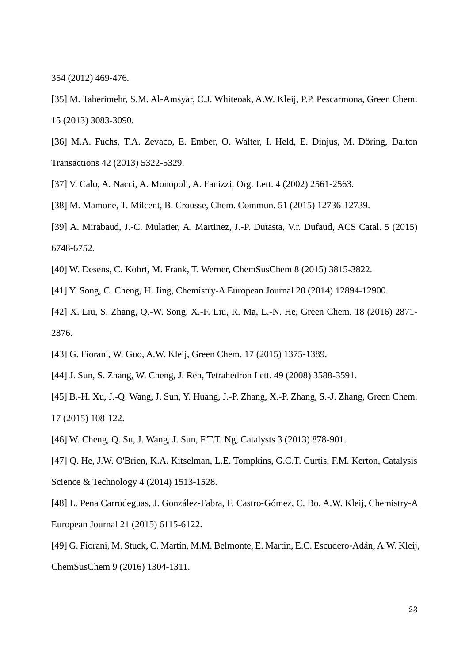354 (2012) 469-476.

[35] M. Taherimehr, S.M. Al-Amsyar, C.J. Whiteoak, A.W. Kleij, P.P. Pescarmona, Green Chem. 15 (2013) 3083-3090.

- [36] M.A. Fuchs, T.A. Zevaco, E. Ember, O. Walter, I. Held, E. Dinjus, M. Döring, Dalton Transactions 42 (2013) 5322-5329.
- <span id="page-22-0"></span>[37] V. Calo, A. Nacci, A. Monopoli, A. Fanizzi, Org. Lett. 4 (2002) 2561-2563.
- [38] M. Mamone, T. Milcent, B. Crousse, Chem. Commun. 51 (2015) 12736-12739.
- [39] A. Mirabaud, J.-C. Mulatier, A. Martinez, J.-P. Dutasta, V.r. Dufaud, ACS Catal. 5 (2015) 6748-6752.
- <span id="page-22-1"></span>[40] W. Desens, C. Kohrt, M. Frank, T. Werner, ChemSusChem 8 (2015) 3815-3822.
- [41] Y. Song, C. Cheng, H. Jing, Chemistry-A European Journal 20 (2014) 12894-12900.
- [42] X. Liu, S. Zhang, Q.-W. Song, X.-F. Liu, R. Ma, L.-N. He, Green Chem. 18 (2016) 2871- 2876.
- <span id="page-22-2"></span>[43] G. Fiorani, W. Guo, A.W. Kleij, Green Chem. 17 (2015) 1375-1389.
- [44] J. Sun, S. Zhang, W. Cheng, J. Ren, Tetrahedron Lett. 49 (2008) 3588-3591.
- [45] B.-H. Xu, J.-Q. Wang, J. Sun, Y. Huang, J.-P. Zhang, X.-P. Zhang, S.-J. Zhang, Green Chem. 17 (2015) 108-122.
- [46] W. Cheng, Q. Su, J. Wang, J. Sun, F.T.T. Ng, Catalysts 3 (2013) 878-901.
- [47] Q. He, J.W. O'Brien, K.A. Kitselman, L.E. Tompkins, G.C.T. Curtis, F.M. Kerton, Catalysis Science & Technology 4 (2014) 1513-1528.
- <span id="page-22-3"></span>[48] L. Pena Carrodeguas, J. González‐Fabra, F. Castro‐Gómez, C. Bo, A.W. Kleij, Chemistry-A European Journal 21 (2015) 6115-6122.
- <span id="page-22-4"></span>[49] G. Fiorani, M. Stuck, C. Martín, M.M. Belmonte, E. Martin, E.C. Escudero‐Adán, A.W. Kleij, ChemSusChem 9 (2016) 1304-1311.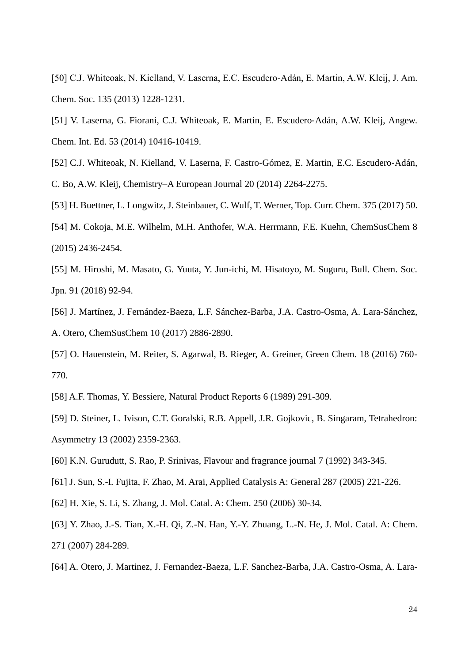[50] C.J. Whiteoak, N. Kielland, V. Laserna, E.C. Escudero-Adán, E. Martin, A.W. Kleij, J. Am. Chem. Soc. 135 (2013) 1228-1231.

[51] V. Laserna, G. Fiorani, C.J. Whiteoak, E. Martin, E. Escudero‐Adán, A.W. Kleij, Angew. Chem. Int. Ed. 53 (2014) 10416-10419.

<span id="page-23-0"></span>[52] C.J. Whiteoak, N. Kielland, V. Laserna, F. Castro‐Gómez, E. Martin, E.C. Escudero‐Adán, C. Bo, A.W. Kleij, Chemistry–A European Journal 20 (2014) 2264-2275.

<span id="page-23-1"></span>[53] H. Buettner, L. Longwitz, J. Steinbauer, C. Wulf, T. Werner, Top. Curr. Chem. 375 (2017) 50.

<span id="page-23-2"></span>[54] M. Cokoja, M.E. Wilhelm, M.H. Anthofer, W.A. Herrmann, F.E. Kuehn, ChemSusChem 8 (2015) 2436-2454.

<span id="page-23-3"></span>[55] M. Hiroshi, M. Masato, G. Yuuta, Y. Jun-ichi, M. Hisatoyo, M. Suguru, Bull. Chem. Soc. Jpn. 91 (2018) 92-94.

<span id="page-23-4"></span>[56] J. Martínez, J. Fernández‐Baeza, L.F. Sánchez‐Barba, J.A. Castro‐Osma, A. Lara‐Sánchez, A. Otero, ChemSusChem 10 (2017) 2886-2890.

<span id="page-23-5"></span>[57] O. Hauenstein, M. Reiter, S. Agarwal, B. Rieger, A. Greiner, Green Chem. 18 (2016) 760- 770.

<span id="page-23-6"></span>[58] A.F. Thomas, Y. Bessiere, Natural Product Reports 6 (1989) 291-309.

<span id="page-23-7"></span>[59] D. Steiner, L. Ivison, C.T. Goralski, R.B. Appell, J.R. Gojkovic, B. Singaram, Tetrahedron: Asymmetry 13 (2002) 2359-2363.

<span id="page-23-8"></span>[60] K.N. Gurudutt, S. Rao, P. Srinivas, Flavour and fragrance journal 7 (1992) 343-345.

<span id="page-23-9"></span>[61] J. Sun, S.-I. Fujita, F. Zhao, M. Arai, Applied Catalysis A: General 287 (2005) 221-226.

[62] H. Xie, S. Li, S. Zhang, J. Mol. Catal. A: Chem. 250 (2006) 30-34.

[63] Y. Zhao, J.-S. Tian, X.-H. Qi, Z.-N. Han, Y.-Y. Zhuang, L.-N. He, J. Mol. Catal. A: Chem. 271 (2007) 284-289.

<span id="page-23-10"></span>[64] A. Otero, J. Martinez, J. Fernandez-Baeza, L.F. Sanchez-Barba, J.A. Castro-Osma, A. Lara-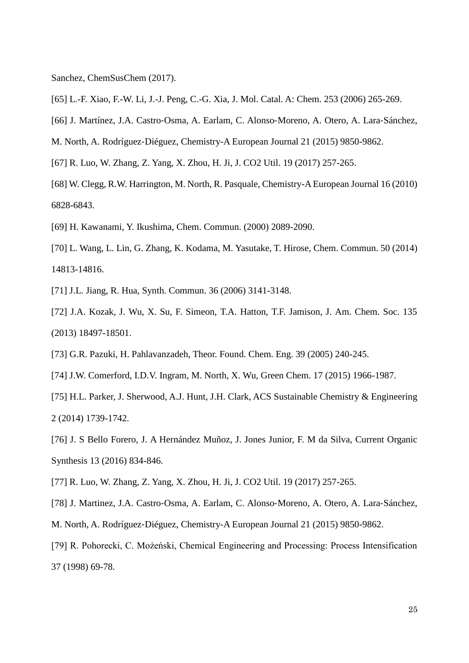Sanchez, ChemSusChem (2017).

- <span id="page-24-0"></span>[65] L.-F. Xiao, F.-W. Li, J.-J. Peng, C.-G. Xia, J. Mol. Catal. A: Chem. 253 (2006) 265-269.
- <span id="page-24-1"></span>[66] J. Martínez, J.A. Castro‐Osma, A. Earlam, C. Alonso‐Moreno, A. Otero, A. Lara‐Sánchez,

M. North, A. Rodríguez‐Diéguez, Chemistry-A European Journal 21 (2015) 9850-9862.

- [67] R. Luo, W. Zhang, Z. Yang, X. Zhou, H. Ji, J. CO2 Util. 19 (2017) 257-265.
- <span id="page-24-7"></span>[68] W. Clegg, R.W. Harrington, M. North, R. Pasquale, Chemistry-A European Journal 16 (2010) 6828-6843.
- <span id="page-24-2"></span>[69] H. Kawanami, Y. Ikushima, Chem. Commun. (2000) 2089-2090.
- [70] L. Wang, L. Lin, G. Zhang, K. Kodama, M. Yasutake, T. Hirose, Chem. Commun. 50 (2014) 14813-14816.
- [71] J.L. Jiang, R. Hua, Synth. Commun. 36 (2006) 3141-3148.
- [72] J.A. Kozak, J. Wu, X. Su, F. Simeon, T.A. Hatton, T.F. Jamison, J. Am. Chem. Soc. 135 (2013) 18497-18501.
- <span id="page-24-3"></span>[73] G.R. Pazuki, H. Pahlavanzadeh, Theor. Found. Chem. Eng. 39 (2005) 240-245.
- <span id="page-24-4"></span>[74] J.W. Comerford, I.D.V. Ingram, M. North, X. Wu, Green Chem. 17 (2015) 1966-1987.
- <span id="page-24-5"></span>[75] H.L. Parker, J. Sherwood, A.J. Hunt, J.H. Clark, ACS Sustainable Chemistry & Engineering 2 (2014) 1739-1742.
- <span id="page-24-6"></span>[76] J. S Bello Forero, J. A Hernández Muñoz, J. Jones Junior, F. M da Silva, Current Organic Synthesis 13 (2016) 834-846.
- <span id="page-24-8"></span>[77] R. Luo, W. Zhang, Z. Yang, X. Zhou, H. Ji, J. CO2 Util. 19 (2017) 257-265.
- <span id="page-24-9"></span>[78] J. Martinez, J.A. Castro‐Osma, A. Earlam, C. Alonso‐Moreno, A. Otero, A. Lara‐Sánchez, M. North, A. Rodríguez‐Diéguez, Chemistry-A European Journal 21 (2015) 9850-9862.
- <span id="page-24-10"></span>[79] R. Pohorecki, C. Możeński, Chemical Engineering and Processing: Process Intensification 37 (1998) 69-78.